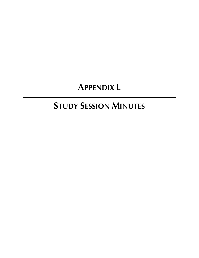# **APPENDIX L**

# **STUDY SESSION MINUTES**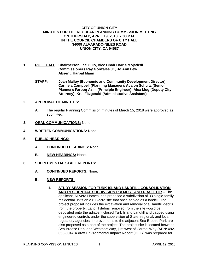#### **CITY OF UNION CITY MINUTES FOR THE REGULAR PLANNING COMMISSION MEETING ON THURSDAY, APRIL 19, 2018, 7:00 P.M. IN THE COUNCIL CHAMBERS OF CITY HALL 34009 ALVARADO-NILES ROAD UNION CITY, CA 94587**

- **1. ROLL CALL: Chairperson Lee Guio, Vice Chair Harris Mojadedi Commissioners Ray Gonzales Jr., Jo Ann Lew Absent: Harpal Mann** 
	- **STAFF: Joan Malloy (Economic and Community Development Director); Carmela Campbell (Planning Manager); Avalon Schultz (Senior Planner); Farooq Azim (Principle Engineer); Alex Mog (Deputy City Attorney); Kris Fitzgerald (Administrative Assistant)**

# **2. APPROVAL OF MINUTES:**

- **A.** The regular Planning Commission minutes of March 15, 2018 were approved as submitted.
- **3. ORAL COMMUNICATIONS:** None.
- **4. WRITTEN COMMUNICATIONS:** None.
- **5. PUBLIC HEARINGS:**
	- **A. CONTINUED HEARINGS:** None.
	- **B. NEW HEARINGS:** None.
- **6. SUPPLEMENTAL STAFF REPORTS:**
	- **A. CONTINUED REPORTS:** None.
	- **B. NEW REPORTS:**
		- **1. STUDY SESSION FOR TURK ISLAND LANDFILL CONSOLIDATION AND RESIDENTIAL SUBDIVISION PROJECT AND DRAFT EIR** – The applicant, Nuvera Homes, has proposed a subdivision of 33 single-family residential units on a 6.3-acre site that once served as a landfill. The project proposal includes the excavation and removal of all landfill debris from the property. Landfill debris removed from the site would be deposited onto the adjacent closed Turk Island Landfill and capped using engineered controls under the supervision of State, regional, and local regulatory agencies. Improvements to the adjacent Sea Breeze Park are also proposed as a part of the project. The project site is located between Sea Breeze Park and Westport Way, just west of Carmel Way (APN: 482- 053-004). A draft Environmental Impact Report (DEIR) was prepared for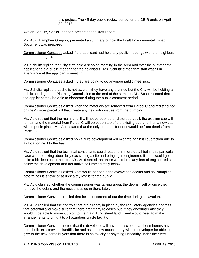this project. The 45-day public review period for the DEIR ends on April 30, 2018.

Avalon Schultz, Senior Planner, presented the staff report.

Ms. Auld, Lamphier Gregory, presented a summary of how the Draft Environmental Impact Document was prepared.

Commissioner Gonzales asked if the applicant had held any public meetings with the neighbors around the project.

Ms. Schultz replied that City staff held a scoping meeting in the area and over the summer the applicant held a public meeting for the neighbors. Ms. Schultz stated that staff wasn't in attendance at the applicant's meeting.

Commissioner Gonzales asked if they are going to do anymore public meetings.

Ms. Schultz replied that she is not aware if they have any planned but the City will be holding a public hearing at the Planning Commission at the end of the summer. Ms. Schultz stated that the applicant may be able to elaborate during the public comment period.

Commissioner Gonzales asked when the materials are removed from Parcel C and redistributed on the 47 acre parcel will that create any new odor issues from the dumping.

Ms. Auld replied that the main landfill will not be opened or disturbed at all, the existing cap will remain and the material from Parcel C will be put on top of the existing cap and then a new cap will be put in place. Ms. Auld stated that the only potential for odor would be from debris from Parcel C.

Commissioner Gonzales asked how future development will mitigate against liquefaction due to its location next to the bay.

Ms. Auld replied that the technical consultants could respond in more detail but in this particular case we are talking about fully excavating a site and bringing in engineered fill that would go quite a bit deep on to the site. Ms. Auld stated that there would be many feet of engineered soil below the development and not native soil immediately below.

Commissioner Gonzales asked what would happen if the excavation occurs and soil sampling determines it is toxic or at unhealthy levels for the public.

Ms. Auld clarified whether the commissioner was talking about the debris itself or once they remove the debris and the residences go in there later.

Commissioner Gonzales replied that he is concerned about the time during excavation.

Ms. Auld replied that the controls that are already in place by the regulatory agencies address that potential and make sure that there aren't any releases but if they encounter any they wouldn't be able to move it up on to the main Turk Island landfill and would need to make arrangements to bring it to a hazardous waste facility.

Commissioner Gonzales noted that the developer will have to disclose that these homes have been built on a previous landfill site and asked how much surety will the developer be able to give to the new home buyers that there is no toxicity or anything unhealthy under their feet.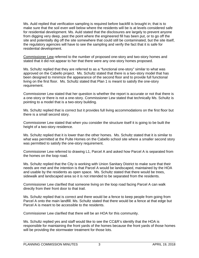Ms. Auld replied that verification sampling is required before backfill is brought in; that is to make sure that the soil even well below where the residents will be is at levels considered safe for residential development. Ms. Auld stated that the disclosures are largely to prevent anyone from digging very deep, past the point where the engineered fill has been put, or to go off the site and potentially dig off the site somewhere that could still be contaminated, but the site itself, the regulatory agencies will have to see the sampling and verify the fact that it is safe for residential development.

Commissioner Lew referred to the number of proposed one-story and two-story homes and stated that it did not appear to her that there were any one-story homes proposed.

Ms. Schultz replied that they are referred to as a "functional one-story" similar to what was approved on the Cabello project. Ms. Schultz stated that there is a two-story model that has been designed to minimize the appearance of the second floor and to provide full functional living on the first floor. Ms. Schultz stated that Plan 1 is meant to satisfy the one-story requirement.

Commissioner Lew stated that her question is whether the report is accurate or not that there is a one-story or there is not a one-story. Commissioner Lew stated that technically Ms. Schultz is pointing to a model that is a two-story building.

Ms. Schultz replied that is correct but it provides full living accommodations on the first floor but there is a small second story.

Commissioner Lew stated that when you consider the structure itself it is going to be built the height of a two-story residence.

Ms. Schultz replied that it is lower than the other homes. Ms. Schultz stated that it is similar to what was permitted at the Pulte Homes on the Cabello school site where a smaller second story was permitted to satisfy the one-story requirement.

Commissioner Lew referred to drawing L1, Parcel A and asked how Parcel A is separated from the homes on the loop road.

Ms. Schultz replied that the City is working with Union Sanitary District to make sure that their needs are met and the intention is that Parcel A would be landscaped, maintained by the HOA and usable by the residents as open space. Ms. Schultz stated that there would be trees, sidewalk and landscaped area so it is not intended to be separated from the residents.

Commissioner Lew clarified that someone living on the loop road facing Parcel A can walk directly from their front door to that trail.

Ms. Schultz replied that is correct and there would be a fence to keep people from going from Parcel A onto the main landfill. Ms. Schultz stated that there would be a fence at that edge but Parcel A is meant to be accessible to the residents.

Commissioner Lew clarified that there will be an HOA for this community.

Ms. Schultz replied yes and staff would like to see the CC&R's identify that the HOA is responsible for maintaining the front yards of the homes because the front yards of those homes will be providing the stormwater treatment for those lots.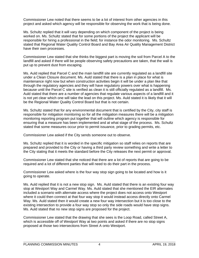Commissioner Lew noted that there seems to be a lot of interest from other agencies in this project and asked which agency will be responsible for observing the work that is being done.

Ms. Schultz replied that it will vary depending on which component of the project is being worked on. Ms. Schultz stated that for some portions of the project the applicant will be responsible for hiring a professional in the field; for instance the odor monitoring. Ms. Schultz stated that Regional Water Quality Control Board and Bay Area Air Quality Management District have their own processes.

Commissioner Lew stated that she thinks the biggest part is moving the soil from Parcel A to the landfill and asked if there will be people observing safety precautions are taken, that the wall is put up to prevent dust from escaping.

Ms. Auld replied that Parcel C and the main landfill site are currently regulated as a landfill site under a Clean Closure document. Ms. Auld stated that there is a plan in place for what is maintenance right now but when construction activities begin it will be under a plan like that through the regulatory agencies and they will have regulatory powers over what is happening because until the Parcel C site is verified as clean it is still officially regulated as a landfill. Ms. Auld stated that there are a number of agencies that regulate various aspects of a landfill and it is not yet clear which one will take the lead on this project. Ms. Auld stated it is likely that it will be the Regional Water Quality Control Board but that is not certain.

Ms. Schultz stated that for any environmental document that is certified by the City, city staff is responsible for mitigation monitoring so for all the mitigation measures there will be a mitigation monitoring reporting program put together that will outline which agency is responsible for ensuring that a measure has been implemented and at what stage of the process. Ms. Schultz stated that some measures occur prior to permit issuance, prior to grading permits, etc.

Commissioner Lew asked if the City sends someone out to observe.

Ms. Schultz replied that it is worded in the specific mitigation so staff relies on reports that are prepared and provided to the City or having a third party review something and write a letter to the City stating that it meets the standard before the City releases the next permit or approval.

Commissioner Lew stated that she noticed that there are a lot of reports that are going to be required and a lot of different parties that will need to do their part in the process.

Commissioner Lew asked where is the four way stop sign going to be located and how is it going to operate.

Ms. Auld replied that it is not a new stop sign. Ms. Auld stated that there is an existing four way stop at Westport Way and Carmel Way. Ms. Auld stated that she mentioned the EIR alternates included a scenario with alternate access where the project does not access onto Westport where it could then connect at that four way stop it would instead access directly onto Carmel Way. Ms. Auld stated then it would create a new four way intersection but it is too close to the existing intersection to provide a four way stop so only the side roads would have stop signs. Ms. Auld stated that no new stop signs are proposed for the project.

Commissioner Lew stated that the drawing that she sees is the Loop Road, called Street A, which is accessible off of Westport Way at two points and asked if there are no stop signs proposed at those two intersections from Street A onto Westport.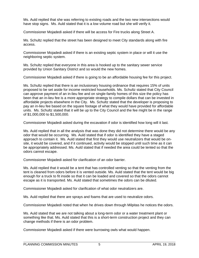Ms. Auld replied that she was referring to existing roads and the two new intersections would have stop signs. Ms. Auld stated that it is a low volume road but she will verify it.

Commissioner Mojadedi asked if there will be access for Fire trucks along Street A.

Ms. Schultz replied that the street has been designed to meet City standards along with fire access.

Commissioner Mojadedi asked if there is an existing septic system in place or will it use the neighboring septic system.

Ms. Schultz replied that everyone in this area is hooked up to the sanitary sewer service provided by Union Sanitary District and so would the new homes.

Commissioner Mojadedi asked if there is going to be an affordable housing fee for this project.

Ms. Schultz replied that there is an inclusionary housing ordinance that requires 15% of units proposed to be set aside for income restricted households. Ms. Schultz stated that City Council can approve payment of an in-lieu fee and on single-family homes of this size the policy has been that an in-lieu fee is a more appropriate strategy to compile dollars that can be invested in affordable projects elsewhere in the City. Ms. Schultz stated that the developer is proposing to pay an in-lieu fee based on the square footage of what they would have provided for affordable units. Ms. Schultz stated that it will be up to the City Council and the fee might be in the range of \$1,000,000 to \$1,500,000.

Commissioner Mojadedi asked during the excavation if odor is identified how long will it last.

Ms. Auld replied that in all the analysis that was done they did not determine there would be any odor that would be occurring. Ms. Auld stated that if odor is identified they have a staged approach to contain it. Ms. Auld stated that first they would use neutralizers that would be onsite, it would be covered, and if it continued, activity would be stopped until such time as it can be appropriately addressed. Ms. Auld stated that if needed the area could be tented so that the odors cannot escape.

Commissioner Mojadedi asked for clarification of an odor barrier.

Ms. Auld replied that it would be a tent that has controlled venting so that the venting from the tent is cleaned from odors before it is vented outside. Ms. Auld stated that the tent would be big enough for a truck to fit inside so that it can be loaded and covered so that the odors cannot escape as it is transported. Ms. Auld stated that sometimes the odors can be diluted.

Commissioner Mojadedi asked for clarification of what odor neutralizers are.

Ms. Auld replied that there are sprays and foams that are used to neutralize odors.

Commissioner Mojadedi noted that when he drives down through Milpitas he notices the odors.

Ms. Auld stated that we are not talking about a long-term odor or a water treatment plant or something like that. Ms. Auld stated that this is a short-term construction project and they can change methods if there is an odor problem.

Commissioner Mojadedi asked if there were burrowing owls what would happen.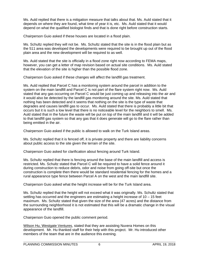Ms. Auld replied that there is a mitigation measure that talks about that. Ms. Auld stated that it depends on where they are found, what time of year it is, etc. Ms. Auld stated that it would depend on what the qualified biologist finds and that is done right before construction starts.

Chairperson Guio asked if these houses are located in a flood plain.

Ms. Schultz replied they will not be. Ms. Schultz stated that the site is in the flood plain but as the 511 area was developed the developments were required to be brought up out of the flood plain area and the new development will be required to as well.

Ms. Auld stated that the site is officially in a flood zone right now according to FEMA maps, however, you can get a letter of map revision based on actual site conditions. Ms. Auld stated that the elevation of the site is higher than the possible flood zone.

Chairperson Guio asked if these changes will affect the landfill gas treatment.

Ms. Auld replied that Parcel C has a monitoring system around the parcel in addition to the system on the main landfill and Parcel C is not part of the flare system right now. Ms. Auld stated that any gas occurring on Parcel C would be just coming up and releasing into the air and it would also be detected by the landfill gas monitoring around the site. Ms. Auld stated that nothing has been detected and it seems that nothing on the site is the type of waste that degrades and causes landfill gas to occur. Ms. Auld stated that there is probably a little bit that occurs but it is such a low level that there is no noticeable level for the neighbors to smell. Ms. Auld stated that in the future the waste will be put on top of the main landfill and it will be added to that landfill gas system so that any gas that it does generate will go to the flare rather than being emitted in the air.

Chairperson Guio asked if the public is allowed to walk on the Turk Island areas.

Ms. Schultz replied that it is fenced off, it is private property and there are liability concerns about public access to the site given the terrain of the site.

Chairperson Guio asked for clarification about fencing around Turk Island.

Ms. Schultz replied that there is fencing around the base of the main landfill and access is restricted. Ms. Schultz stated that Parcel C will be required to have a solid fence around it during construction to reduce debris, odor and noise from going off-site but once the construction is complete then there would be standard residential fencing for the homes and a rural appearance type fence between Parcel A on the west and the main landfill site.

Chairperson Guio asked what the height increase will be for the Turk Island area.

Ms. Schultz replied that the height will not exceed what it was originally. Ms. Schultz stated that settling has occurred and the engineers are estimating a height increase of 10 – 15 feet maximum. Ms. Schultz stated that given the size of the area (47 acres) and the distance from the surrounding neighborhood it is not estimated that this will be a dramatic change in the visual appearance of the landfill.

Chairperson Guio opened the public comment period.

Wilson Hu, Westgate Ventures, stated that they are assisting Nuvera Homes on this development. Mr. Hu thanked staff for their help with this project. Mr. Hu introduced other members of the team that are in the audience this evening.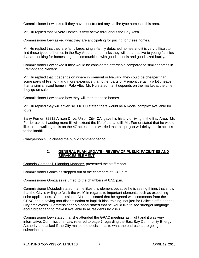Commissioner Lew asked if they have constructed any similar type homes in this area.

Mr. Hu replied that Nuvera Homes is very active throughout the Bay Area.

Commissioner Lew asked what they are anticipating for pricing for these homes.

Mr. Hu replied that they are fairly large, single-family detached homes and it is very difficult to find these types of homes in the Bay Area and he thinks they will be attractive to young families that are looking for homes in good communities, with good schools and good sized backyards.

Commissioner Lew asked if they would be considered affordable compared to similar homes in Fremont and Newark.

Mr. Hu replied that it depends on where in Fremont or Newark, they could be cheaper than some parts of Fremont and more expensive than other parts of Fremont certainly a lot cheaper than a similar sized home in Palo Alto. Mr. Hu stated that it depends on the market at the time they go on sale.

Commissioner Lew asked how they will market these homes.

Mr. Hu replied they will advertise. Mr. Hu stated there would be a model complex available for tours.

Barry Ferrier, 32212 Allison Drive, Union City, CA, gave his history of living in the Bay Area. Mr. Ferrier asked if adding more fill will extend the life of the landfill. Mr. Ferrier stated that he would like to see walking trails on the 47 acres and is worried that this project will delay public access to the landfill.

Chairperson Guio closed the public comment period.

# **2. GENERAL PLAN UPDATE - REVIEW OF PUBLIC FACILITIES AND SERVICES ELEMENT**

Carmela Campbell, Planning Manager, presented the staff report.

Commissioner Gonzales stepped out of the chambers at 8:46 p.m.

Commissioner Gonzales returned to the chambers at 8:51 p.m.

Commissioner Mojadedi stated that he likes this element because he is seeing things that show that the City is willing to "walk the walk" in regards to important elements such as expediting solar applications. Commissioner Mojadedi stated that he agreed with comments from the GPAC about having non-discrimination or implicit bias training, not just for Police staff but for all City employees. Commissioner Mojadedi stated that he would like to see stronger language about broadband to make it available to all residents by 2040.

Commissioner Lew stated that she attended the GPAC meeting last night and it was very informative. Commissioner Lew referred to page 7 regarding the East Bay Community Energy Authority and asked if the City makes the decision as to what the end-users are going to subscribe to.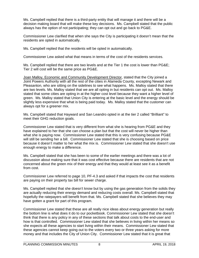Ms. Campbell replied that there is a third-party entity that will manage it and there will be a decision making board that will make these key decisions. Ms. Campbell stated that the public always has the option of not participating; they can opt out and go back to PG&E.

Commissioner Lew clarified that when she says the City is participating it doesn't mean that the residents are opted in automatically.

Ms. Campbell replied that the residents will be opted in automatically.

Commissioner Lew asked what that means in terms of the cost of the residents services.

Ms. Campbell replied that there are two levels and at the Tier 1 the cost is lower than PG&E; Tier 2 will cost will be the same price as PG&E.

Joan Malloy, Economic and Community Development Director, stated that the City joined a Joint Powers Authority with all the rest of the cities in Alameda County, excepting Newark and Pleasanton, who are sitting on the sidelines to see what happens. Ms. Malloy stated that there are two levels. Ms. Malloy stated that we are all opting in but residents can opt out. Ms. Malloy stated that some cities are opting in at the higher cost level because they want a higher level of green. Ms. Malloy stated that Union City is entering at the basic level and the energy should be slightly less expensive that what is being paid today. Ms. Malloy stated that the customer can always opt for a greener mix.

Ms. Campbell stated that Hayward and San Leandro opted in at the tier 2 called "Brilliant" to meet their GHG reduction goals.

Commissioner Lew stated that is very different from what she is hearing from PG&E and they have explained to her that she can choose a plan but that the cost will never be higher than what she is paying now. Commissioner Lew stated that this is very confusing because PG&E will still be sending her a bill. Commissioner Lew stated that she is choosing based on price because it doesn't matter to her what the mix is. Commissioner Lew stated that she doesn't use enough energy to make a difference.

Ms. Campbell stated that she has been to some of the earlier meetings and there was a lot of discussion about making sure that it was cost effective because there are residents that are not concerned about the green mix of their energy and that they would at least see it as a benefit from cost.

Commissioner Lew referred to page 10, PF-4.3 and asked if that impacts the cost that residents are paying on their property tax bill for sewer charge.

Ms. Campbell replied that she doesn't know but by using the gas generation from the solids they are actually reducing their energy demand and reducing costs overall. Ms. Campbell stated that hopefully the ratepayers will benefit from that. Ms. Campbell stated that she believes they may have gotten a grant for part of this program.

Commissioner Lew stated that these are all really nice ideas about energy generation but really the bottom line is what does it do to our pocketbook. Commissioner Lew stated that she doesn't think that there is any policy in any of these sections that talk about costs to the end-user and how is that controlled. Commissioner Lew stated that she believes in living within her means so she expects all these agencies to start living within their means. Commissioner Lew stated that these agencies cannot keep going out to the voters every two or three years asking for more money and that includes the City of Union City. Commissioner Lew stated that it is great that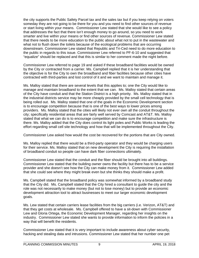the city supports the Public Safety Parcel tax and the sales tax but if you keep relying on voters someday they are not going to be there for you and you need to find other sources of revenue or start living within your means. Commissioner Lew stated that she would like to see a policy that addresses the fact that there isn't enough money to go around, so you need to work smarter and live within your means or find other sources of revenue. Commissioner Lew stated that there needs to be more education to the public about what not to put in the wastewater and what not to flush down the toilets because of the ecological problems that are occurring downstream. Commissioner Lew stated that Republic and Tri-Ced need to do more education to the public in regards to this issue. Commissioner Lew referred to PF-6-10 and suggested that "equalize" should be replaced and that this is similar to her comment made the night before.

Commissioner Lew referred to page 19 and asked if these broadband facilities would be owned by the City or contracted from a carrier. Ms. Campbell replied that it is her understanding that the objective is for the City to own the broadband and fiber facilities because other cities have contracted with third-parties and lost control of it and we want to maintain and manage it.

Ms. Malloy stated that there are several levels that this applies to; one the City would like to manage and maintain broadband to the extent that we can. Ms. Malloy stated that certain areas of the City have conduit and that the Station District is a high priority. Ms. Malloy stated that in the industrial districts service may be more cheaply provided by the small cell technology that is being rolled out. Ms. Malloy stated that one of the goals in the Economic Development section is to encourage competition because that is one of the best ways to lower prices among providers. Ms. Malloy stated that the cities will likely not ever own all the conduit throughout the city; specifically residential areas that are fairly well served by Comcast and AT&T. Ms. Malloy stated that what we can do is to encourage competition and make sure the infrastructure is there. Ms. Malloy added that the City does control its light poles and Public Works is leading the effort regarding small cell site technology and how that will be implemented throughout the City.

Commissioner Lew asked how would the cost be recovered for the portions that are City owned.

Ms. Malloy replied that there would be a third-party operator and they would be charging users for their service. Ms. Malloy stated that on new development the City is requiring the installation of broadband conduit so people can have dark fiber connections ultimately.

Commissioner Lew stated that the conduit and the fiber should be brought into all buildings. Commissioner Lew stated that the building owner owns the facility but there has to be a service provider and she doesn't see how the City can make money from it. Commissioner Lew added that she could see where they might break even but she thinks they should make a profit.

Ms. Campbell stated that the broadband policy was somewhat informed by a broadband study that the City did. Ms. Campbell stated that the City hired a consultant to guide the city and the role was not necessarily to make money (but not to lose money) but to provide an economic development attraction tool to attract businesses to meet our larger economic development goals.

Ms. Lew stated that certain carriers lease facilities from the big carriers (i.e. Verizon, AT&T) and that they get costs at wholesale. Ms. Campbell offered to have a sit-down with Commissioner Lew and Gloria Ortega, the Economic Development Manager, regarding her insights on the industry. Commissioner Lew stated she wants to provide information to inform the policies in a way that will benefit the residents.

Commissioner Lew stated that it is very important to include awareness about cyber security, hacking and stealing data and intrusions. Commissioner Lew stated that her number one pet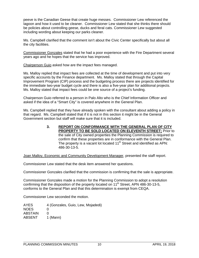peeve is the Canadian Geese that create huge messes. Commissioner Lew referenced the lagoon and how it used to be cleaner. Commissioner Lew stated that she thinks there should be policies about controlling geese, ducks and feral cats. Commissioner Lew suggested including wording about keeping our parks cleaner.

Ms. Campbell clarified that the comment isn't about the Civic Center specifically but about all the city facilities.

Commissioner Gonzales stated that he had a poor experience with the Fire Department several years ago and he hopes that the service has improved.

Chairperson Guio asked how are the impact fees managed.

Ms. Malloy replied that impact fees are collected at the time of development and put into very specific accounts by the Finance department. Ms. Malloy stated that through the Capital Improvement Program (CIP) process and the budgeting process there are projects identified for the immediate two-year budget cycle and there is also a five-year plan for additional projects. Ms. Malloy stated that impact fees could be one source of a project's funding.

Chairperson Guio referred to a person in Palo Alto who is the Chief Information Officer and asked if the idea of a "Smart City" is covered anywhere in the General Plan.

Ms. Campbell replied that they have already spoken with the consultant about adding a policy in that regard. Ms. Campbell stated that if it is not in this section it might be in the General Government section but staff will make sure that it is included.

> **3. REPORT ON CONFORMANCE WITH THE GENERAL PLAN OF CITY PROPERTY TO BE SOLD LOCATED ON ELEVENTH STREET;** Prior to the sale of City owned properties the Planning Commission is required to confirm that these properties are in conformance with the General Plan. The property is a vacant lot located 11<sup>th</sup> Street and identified as APN: 486-30-13-5.

Joan Malloy, Economic and Community Development Manager, presented the staff report.

Commissioner Lew stated that the desk item answered her questions.

Commissioner Gonzales clarified that the commission is confirming that the sale is appropriate.

Commissioner Gonzales made a motion for the Planning Commission to adopt a resolution confirming that the disposition of the property located on  $11<sup>th</sup>$  Street, APN 486-30-13-5, conforms to the General Plan and that this determination is exempt from CEQA.

Commissioner Lew seconded the motion.

AYES 4 (Gonzales, Guio, Lew, Mojadedi) NOES 0 ABSTAIN 0<br>ABSENT 1 1 (Mann)